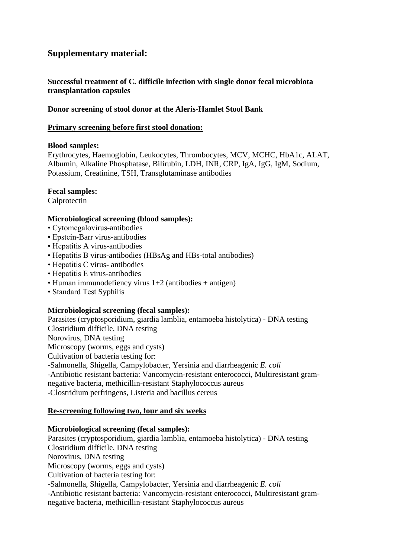# **Supplementary material:**

# **Successful treatment of C. difficile infection with single donor fecal microbiota transplantation capsules**

## **Donor screening of stool donor at the Aleris-Hamlet Stool Bank**

### **Primary screening before first stool donation:**

## **Blood samples:**

Erythrocytes, Haemoglobin, Leukocytes, Thrombocytes, MCV, MCHC, HbA1c, ALAT, Albumin, Alkaline Phosphatase, Bilirubin, LDH, INR, CRP, IgA, IgG, IgM, Sodium, Potassium, Creatinine, TSH, Transglutaminase antibodies

## **Fecal samples:**

Calprotectin

### **Microbiological screening (blood samples):**

- Cytomegalovirus-antibodies
- Epstein-Barr virus-antibodies
- Hepatitis A virus-antibodies
- Hepatitis B virus-antibodies (HBsAg and HBs-total antibodies)
- Hepatitis C virus- antibodies
- Hepatitis E virus-antibodies
- Human immunodefiency virus 1+2 (antibodies + antigen)
- Standard Test Syphilis

# **Microbiological screening (fecal samples):**

Parasites (cryptosporidium, giardia lamblia, entamoeba histolytica) - DNA testing Clostridium difficile, DNA testing Norovirus, DNA testing Microscopy (worms, eggs and cysts) Cultivation of bacteria testing for: -Salmonella, Shigella, Campylobacter, Yersinia and diarrheagenic *E. coli* -Antibiotic resistant bacteria: Vancomycin-resistant enterococci, Multiresistant gramnegative bacteria, methicillin-resistant Staphylococcus aureus -Clostridium perfringens, Listeria and bacillus cereus

# **Re-screening following two, four and six weeks**

### **Microbiological screening (fecal samples):**

Parasites (cryptosporidium, giardia lamblia, entamoeba histolytica) - DNA testing Clostridium difficile, DNA testing Norovirus, DNA testing Microscopy (worms, eggs and cysts) Cultivation of bacteria testing for: -Salmonella, Shigella, Campylobacter, Yersinia and diarrheagenic *E. coli* -Antibiotic resistant bacteria: Vancomycin-resistant enterococci, Multiresistant gramnegative bacteria, methicillin-resistant Staphylococcus aureus